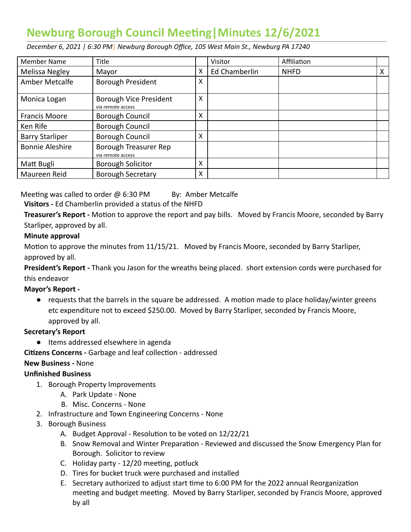# **Newburg Borough Council Meeting | Minutes 12/6/2021**

 *December 6, 2021 | 6:30 PM* | *Newburg Borough Office, 105 West Main St., Newburg PA 17240* 

| <b>Member Name</b>     | Title                                       |   | Visitor       | Affiliation |   |
|------------------------|---------------------------------------------|---|---------------|-------------|---|
| Melissa Negley         | Mayor                                       | x | Ed Chamberlin | <b>NHFD</b> | X |
| Amber Metcalfe         | Borough President                           | X |               |             |   |
| Monica Logan           | Borough Vice President<br>via remote access | x |               |             |   |
| <b>Francis Moore</b>   | Borough Council                             | x |               |             |   |
| Ken Rife               | Borough Council                             |   |               |             |   |
| <b>Barry Starliper</b> | Borough Council                             | X |               |             |   |
| <b>Bonnie Aleshire</b> | Borough Treasurer Rep<br>via remote access  |   |               |             |   |
| Matt Bugli             | <b>Borough Solicitor</b>                    | X |               |             |   |
| Maureen Reid           | <b>Borough Secretary</b>                    | x |               |             |   |

Meeting was called to order  $\omega$  6:30 PM By: Amber Metcalfe

 **Visitors -** Ed Chamberlin provided a status of the NHFD

**Treasurer's Report -** Motion to approve the report and pay bills. Moved by Francis Moore, seconded by Barry Starliper, approved by all.

## **Minute approval**

Motion to approve the minutes from 11/15/21. Moved by Francis Moore, seconded by Barry Starliper, approved by all.

 **President's Report -** Thank you Jason for the wreaths being placed. short extension cords were purchased for this endeavor

## **Mayor's Report -**

 $\bullet$  requests that the barrels in the square be addressed. A motion made to place holiday/winter greens etc expenditure not to exceed \$250.00. Moved by Barry Starliper, seconded by Francis Moore, approved by all.

## **Secretary's Report**

- Items addressed elsewhere in agenda
- **Citizens Concerns Garbage and leaf collection addressed**

## **New Business -** None

## **Unfinished Business**

- 1. Borough Property Improvements
	- A. Park Update None
	- B. Misc. Concerns None
- 2. Infrastructure and Town Engineering Concerns None
- 3. Borough Business
	- A. Budget Approval Resolution to be voted on 12/22/21
	- B. Snow Removal and Winter Preparation Reviewed and discussed the Snow Emergency Plan for Borough. Solicitor to review
	- C. Holiday party  $12/20$  meeting, potluck
	- D. Tires for bucket truck were purchased and installed
	- E. Secretary authorized to adjust start time to 6:00 PM for the 2022 annual Reorganization meeting and budget meeting. Moved by Barry Starliper, seconded by Francis Moore, approved by all